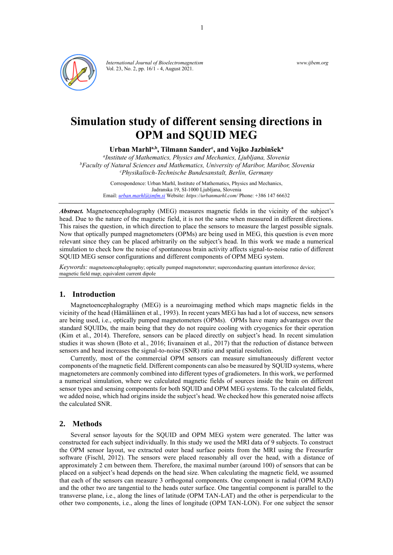

*International Journal of Bioelectromagnetism* Vol. 23, No. 2, pp. 16/1 - 4, August 2021.

*www.ijbem.org*

# **Simulation study of different sensing directions in OPM and SQUID MEG**

**Urban Marhla,b, Tilmann Sander<sup>c</sup> , and Vojko Jazbinšek<sup>a</sup>**

*a Institute of Mathematics, Physics and Mechanics, Ljubljana, Slovenia <sup>b</sup>Faculty of Natural Sciences and Mathematics, University of Maribor, Maribor, Slovenia <sup>c</sup>Physikalisch-Technische Bundesanstalt, Berlin, Germany*

Correspondence: Urban Marhl, Institute of Mathematics, Physics and Mechanics, Jadranska 19, SI-1000 Ljubljana, Slovenia Email: *[urban.marhl@imfm.si](mailto:urban.marhl@imfm.si)* Website: *<https://urbanmarhl.com/>* Phone: +386 147 66632

*Abstract.* Magnetoencephalography (MEG) measures magnetic fields in the vicinity of the subject's head. Due to the nature of the magnetic field, it is not the same when measured in different directions. This raises the question, in which direction to place the sensors to measure the largest possible signals. Now that optically pumped magnetometers (OPMs) are being used in MEG, this question is even more relevant since they can be placed arbitrarily on the subject's head. In this work we made a numerical simulation to check how the noise of spontaneous brain activity affects signal-to-noise ratio of different SQUID MEG sensor configurations and different components of OPM MEG system.

*Keywords:* magnetoencephalography; optically pumped magnetometer; superconducting quantum interference device; magnetic field map; equivalent current dipole

# **1. Introduction**

Magnetoencephalography (MEG) is a neuroimaging method which maps magnetic fields in the vicinity of the head (Hämäläinen et al., 1993). In recent years MEG has had a lot of success, new sensors are being used, i.e., optically pumped magnetometers (OPMs). OPMs have many advantages over the standard SQUIDs, the main being that they do not require cooling with cryogenics for their operation (Kim et al., 2014). Therefore, sensors can be placed directly on subject's head. In recent simulation studies it was shown (Boto et al., 2016; Iivanainen et al., 2017) that the reduction of distance between sensors and head increases the signal-to-noise (SNR) ratio and spatial resolution.

Currently, most of the commercial OPM sensors can measure simultaneously different vector components of the magnetic field. Different components can also be measured by SQUID systems, where magnetometers are commonly combined into different types of gradiometers. In this work, we performed a numerical simulation, where we calculated magnetic fields of sources inside the brain on different sensor types and sensing components for both SQUID and OPM MEG systems. To the calculated fields, we added noise, which had origins inside the subject's head. We checked how this generated noise affects the calculated SNR.

#### **2. Methods**

Several sensor layouts for the SQUID and OPM MEG system were generated. The latter was constructed for each subject individually. In this study we used the MRI data of 9 subjects. To construct the OPM sensor layout, we extracted outer head surface points from the MRI using the Freesurfer software (Fischl, 2012). The sensors were placed reasonably all over the head, with a distance of approximately 2 cm between them. Therefore, the maximal number (around 100) of sensors that can be placed on a subject's head depends on the head size. When calculating the magnetic field, we assumed that each of the sensors can measure 3 orthogonal components. One component is radial (OPM RAD) and the other two are tangential to the heads outer surface. One tangential component is parallel to the transverse plane, i.e., along the lines of latitude (OPM TAN-LAT) and the other is perpendicular to the other two components, i.e., along the lines of longitude (OPM TAN-LON). For one subject the sensor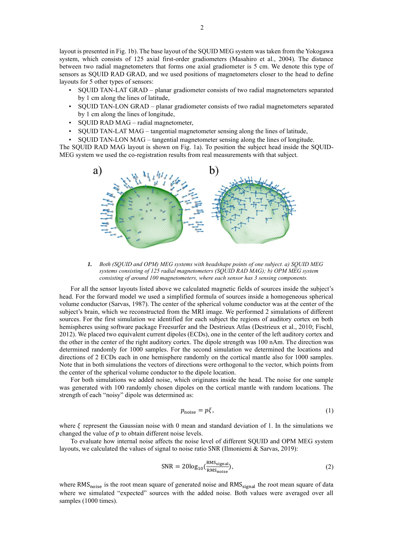layout is presented in Fig. 1b). The base layout of the SQUID MEG system was taken from the Yokogawa system, which consists of 125 axial first-order gradiometers (Masahiro et al., 2004). The distance between two radial magnetometers that forms one axial gradiometer is 5 cm. We denote this type of sensors as SQUID RAD GRAD, and we used positions of magnetometers closer to the head to define layouts for 5 other types of sensors:

- SQUID TAN-LAT GRAD planar gradiometer consists of two radial magnetometers separated by 1 cm along the lines of latitude,
- SQUID TAN-LON GRAD planar gradiometer consists of two radial magnetometers separated by 1 cm along the lines of longitude,
- SQUID RAD MAG radial magnetometer,
- SQUID TAN-LAT MAG tangential magnetometer sensing along the lines of latitude,

• SQUID TAN-LON MAG – tangential magnetometer sensing along the lines of longitude. The SQUID RAD MAG layout is shown on Fig. 1a). To position the subject head inside the SQUID-MEG system we used the co-registration results from real measurements with that subject.



*1. Both (SQUID and OPM) MEG systems with headshape points of one subject. a) SQUID MEG systems consisting of 125 radial magnetometers (SQUID RAD MAG); b) OPM MEG system consisting of around 100 magnetometers, where each sensor has 3 sensing components.*

For all the sensor layouts listed above we calculated magnetic fields of sources inside the subject's head. For the forward model we used a simplified formula of sources inside a homogeneous spherical volume conductor (Sarvas, 1987). The center of the spherical volume conductor was at the center of the subject's brain, which we reconstructed from the MRI image. We performed 2 simulations of different sources. For the first simulation we identified for each subject the regions of auditory cortex on both hemispheres using software package Freesurfer and the Destrieux Atlas (Destrieux et al., 2010; Fischl, 2012). We placed two equivalent current dipoles (ECDs), one in the center of the left auditory cortex and the other in the center of the right auditory cortex. The dipole strength was 100 nAm. The direction was determined randomly for 1000 samples. For the second simulation we determined the locations and directions of 2 ECDs each in one hemisphere randomly on the cortical mantle also for 1000 samples. Note that in both simulations the vectors of directions were orthogonal to the vector, which points from the center of the spherical volume conductor to the dipole location.

For both simulations we added noise, which originates inside the head. The noise for one sample was generated with 100 randomly chosen dipoles on the cortical mantle with random locations. The strength of each "noisy" dipole was determined as:

$$
p_{\text{noise}} = p\xi,\tag{1}
$$

where  $\xi$  represent the Gaussian noise with 0 mean and standard deviation of 1. In the simulations we changed the value of  $p$  to obtain different noise levels.

To evaluate how internal noise affects the noise level of different SQUID and OPM MEG system layouts, we calculated the values of signal to noise ratio SNR (Ilmoniemi & Sarvas, 2019):

$$
SNR = 20\log_{10}\left(\frac{RMS_{signal}}{RMS_{noise}}\right),\tag{2}
$$

where RMS<sub>noise</sub> is the root mean square of generated noise and RMS<sub>signal</sub> the root mean square of data where we simulated "expected" sources with the added noise. Both values were averaged over all samples (1000 times).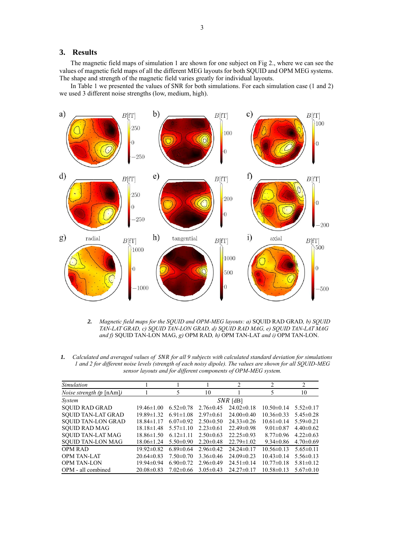# **3. Results**

The magnetic field maps of simulation 1 are shown for one subject on Fig 2., where we can see the values of magnetic field maps of all the different MEG layouts for both SQUID and OPM MEG systems. The shape and strength of the magnetic field varies greatly for individual layouts.

In Table 1 we presented the values of SNR for both simulations. For each simulation case (1 and 2) we used 3 different noise strengths (low, medium, high).



2. *Magnetic field maps for the SOUID and OPM-MEG layouts: a)* SOUID RAD GRAD, *b)* SOUID *TAN-LAT GRAD, c) SQUID TAN-LON GRAD, d) SQUID RAD MAG, e) SQUID TAN-LAT MAG and f)* SQUID TAN-LON MAG, *g)* OPM RAD*, h)* OPM TAN-LAT *and i)* OPM TAN-LON.

*1. Calculated and averaged values of for all 9 subjects with calculated standard deviation for simulations 1 and 2 for different noise levels (strength of each noisy dipole). The values are shown for all SQUID-MEG sensor layouts and for different components of OPM-MEG system.*

| Simulation                      |                  |                 |                 | $\overline{c}$   | $\overline{c}$   | 2               |
|---------------------------------|------------------|-----------------|-----------------|------------------|------------------|-----------------|
| <i>Noise strength (p</i> [nAm]) |                  | 5               | 10              |                  | 5                | 10              |
| <i>System</i>                   | $SNR$ [dB]       |                 |                 |                  |                  |                 |
| <b>SOUID RAD GRAD</b>           | $19.46 \pm 1.00$ | $6.52 \pm 0.78$ | $2.76 \pm 0.45$ | $24.02\pm0.18$   | $10.50 \pm 0.14$ | $5.52 \pm 0.17$ |
| <b>SOUID TAN-LAT GRAD</b>       | $19.89 \pm 1.32$ | $6.91 \pm 1.08$ | $2.97\pm0.61$   | $24.00 \pm 0.40$ | $10.36 \pm 0.33$ | $5.45 \pm 0.28$ |
| <b>SOUID TAN-LON GRAD</b>       | $18.84 \pm 1.17$ | $6.07 \pm 0.92$ | $2.50\pm0.50$   | $24.33 \pm 0.26$ | $10.61 \pm 0.14$ | $5.59 \pm 0.21$ |
| <b>SOUID RAD MAG</b>            | $18.18 \pm 1.48$ | $5.57 \pm 1.10$ | $2.23 \pm 0.61$ | $22.49 \pm 0.98$ | $9.01 \pm 0.87$  | $4.40\pm0.62$   |
| <b>SOUID TAN-LAT MAG</b>        | $18.86\pm1.50$   | $6.12 \pm 1.11$ | $2.50\pm0.63$   | $22.25 \pm 0.93$ | $8.77 \pm 0.96$  | $4.22 \pm 0.63$ |
| <b>SQUID TAN-LON MAG</b>        | $18.06 \pm 1.24$ | $5.50 \pm 0.90$ | $2.20 \pm 0.48$ | $22.79 \pm 1.02$ | $9.34 \pm 0.86$  | $4.70 \pm 0.69$ |
| <b>OPM RAD</b>                  | $19.92 \pm 0.82$ | $6.89\pm0.64$   | $2.96\pm0.42$   | $24.24 \pm 0.17$ | $10.56 \pm 0.13$ | $5.65 \pm 0.11$ |
| <b>OPM TAN-LAT</b>              | $20.64\pm0.83$   | $7.50 \pm 0.70$ | $3.36\pm0.46$   | $24.09 \pm 0.23$ | $10.43 \pm 0.14$ | $5.56 \pm 0.13$ |
| <b>OPM TAN-LON</b>              | $19.94\pm0.94$   | $6.90 \pm 0.72$ | $2.96\pm0.49$   | $24.51 \pm 0.14$ | $10.77 \pm 0.18$ | $5.81 \pm 0.12$ |
| OPM - all combined              | $20.08 \pm 0.83$ | $7.02\pm0.66$   | $3.05 \pm 0.43$ | $24.27\pm0.17$   | $10.58 \pm 0.13$ | $5.67 \pm 0.10$ |